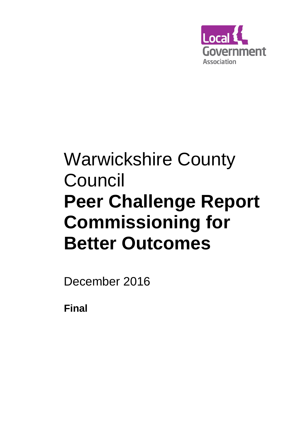

# Warwickshire County Council **Peer Challenge Report Commissioning for Better Outcomes**

December 2016

**Final**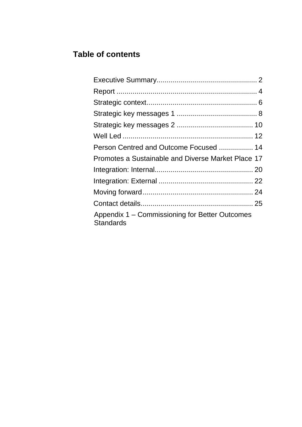# **Table of contents**

| Person Centred and Outcome Focused  14                             |  |
|--------------------------------------------------------------------|--|
| Promotes a Sustainable and Diverse Market Place 17                 |  |
|                                                                    |  |
|                                                                    |  |
|                                                                    |  |
|                                                                    |  |
| Appendix 1 – Commissioning for Better Outcomes<br><b>Standards</b> |  |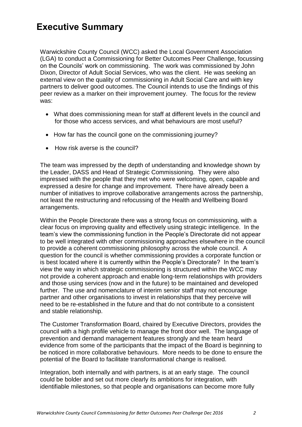# **Executive Summary**

Warwickshire County Council (WCC) asked the Local Government Association (LGA) to conduct a Commissioning for Better Outcomes Peer Challenge, focussing on the Councils' work on commissioning. The work was commissioned by John Dixon, Director of Adult Social Services, who was the client. He was seeking an external view on the quality of commissioning in Adult Social Care and with key partners to deliver good outcomes. The Council intends to use the findings of this peer review as a marker on their improvement journey. The focus for the review was:

- What does commissioning mean for staff at different levels in the council and for those who access services, and what behaviours are most useful?
- How far has the council gone on the commissioning journey?
- How risk averse is the council?

The team was impressed by the depth of understanding and knowledge shown by the Leader, DASS and Head of Strategic Commissioning. They were also impressed with the people that they met who were welcoming, open, capable and expressed a desire for change and improvement. There have already been a number of initiatives to improve collaborative arrangements across the partnership, not least the restructuring and refocussing of the Health and Wellbeing Board arrangements.

Within the People Directorate there was a strong focus on commissioning, with a clear focus on improving quality and effectively using strategic intelligence. In the team's view the commissioning function in the People's Directorate did not appear to be well integrated with other commissioning approaches elsewhere in the council to provide a coherent commissioning philosophy across the whole council. A question for the council is whether commissioning provides a corporate function or is best located where it is currently within the People's Directorate? In the team's view the way in which strategic commissioning is structured within the WCC may not provide a coherent approach and enable long-term relationships with providers and those using services (now and in the future) to be maintained and developed further. The use and nomenclature of interim senior staff may not encourage partner and other organisations to invest in relationships that they perceive will need to be re-established in the future and that do not contribute to a consistent and stable relationship.

The Customer Transformation Board, chaired by Executive Directors, provides the council with a high profile vehicle to manage the front door well. The language of prevention and demand management features strongly and the team heard evidence from some of the participants that the impact of the Board is beginning to be noticed in more collaborative behaviours. More needs to be done to ensure the potential of the Board to facilitate transformational change is realised.

Integration, both internally and with partners, is at an early stage. The council could be bolder and set out more clearly its ambitions for integration, with identifiable milestones, so that people and organisations can become more fully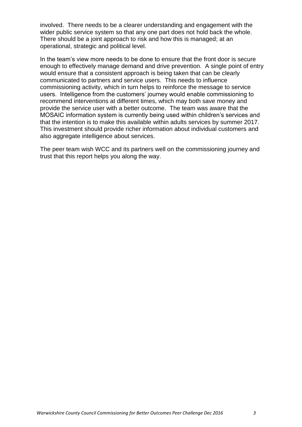involved. There needs to be a clearer understanding and engagement with the wider public service system so that any one part does not hold back the whole. There should be a joint approach to risk and how this is managed; at an operational, strategic and political level.

In the team's view more needs to be done to ensure that the front door is secure enough to effectively manage demand and drive prevention. A single point of entry would ensure that a consistent approach is being taken that can be clearly communicated to partners and service users. This needs to influence commissioning activity, which in turn helps to reinforce the message to service users. Intelligence from the customers' journey would enable commissioning to recommend interventions at different times, which may both save money and provide the service user with a better outcome. The team was aware that the MOSAIC information system is currently being used within children's services and that the intention is to make this available within adults services by summer 2017. This investment should provide richer information about individual customers and also aggregate intelligence about services.

The peer team wish WCC and its partners well on the commissioning journey and trust that this report helps you along the way.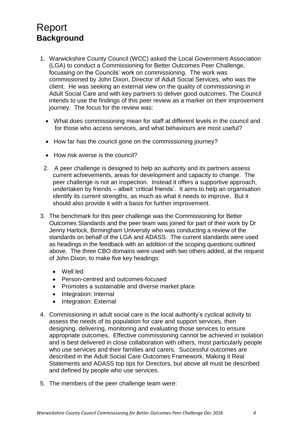# <span id="page-4-0"></span>Report **Background**

- 1. Warwickshire County Council (WCC) asked the Local Government Association (LGA) to conduct a Commissioning for Better Outcomes Peer Challenge, focussing on the Councils' work on commissioning. The work was commissioned by John Dixon, Director of Adult Social Services, who was the client. He was seeking an external view on the quality of commissioning in Adult Social Care and with key partners to deliver good outcomes. The Council intends to use the findings of this peer review as a marker on their improvement journey. The focus for the review was:
	- What does commissioning mean for staff at different levels in the council and for those who access services, and what behaviours are most useful?
	- How far has the council gone on the commissioning journey?
	- How risk averse is the council?
	- 2. A peer challenge is designed to help an authority and its partners assess current achievements, areas for development and capacity to change. The peer challenge is not an inspection. Instead it offers a supportive approach, undertaken by friends – albeit 'critical friends'. It aims to help an organisation identify its current strengths, as much as what it needs to improve. But it should also provide it with a basis for further improvement.
- 3. The benchmark for this peer challenge was the Commissioning for Better Outcomes Standards and the peer team was joined for part of their work by Dr Jenny Harlock, Birmingham University who was conducting a review of the standards on behalf of the LGA and ADASS. The current standards were used as headings in the feedback with an addition of the scoping questions outlined above. The three CBO domains were used with two others added, at the request of John Dixon, to make five key headings:
	- Well led
	- Person-centred and outcomes-focused
	- Promotes a sustainable and diverse market place
	- Integration: Internal
	- Integration: External
- 4. Commissioning in adult social care is the local authority's cyclical activity to assess the needs of its population for care and support services, then designing, delivering, monitoring and evaluating those services to ensure appropriate outcomes. Effective commissioning cannot be achieved in isolation and is best delivered in close collaboration with others, most particularly people who use services and their families and carers. Successful outcomes are described in the Adult Social Care Outcomes Framework, Making it Real Statements and ADASS top tips for Directors, but above all must be described and defined by people who use services.
- 5. The members of the peer challenge team were: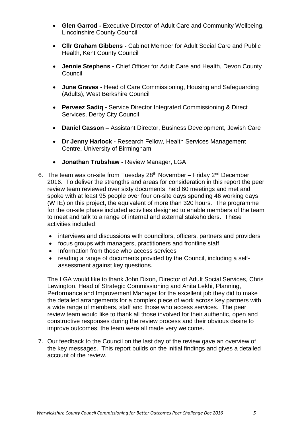- **Glen Garrod -** Executive Director of Adult Care and Community Wellbeing, Lincolnshire County Council
- **Cllr Graham Gibbens -** Cabinet Member for Adult Social Care and Public Health, Kent County Council
- **Jennie Stephens -** Chief Officer for Adult Care and Health, Devon County Council
- **June Graves -** Head of Care Commissioning, Housing and Safeguarding (Adults), West Berkshire Council
- **Perveez Sadiq -** Service Director Integrated Commissioning & Direct Services, Derby City Council
- **Daniel Casson –** Assistant Director, Business Development, Jewish Care
- **Dr Jenny Harlock -** Research Fellow, Health Services Management Centre, University of Birmingham
- **Jonathan Trubshaw -** Review Manager, LGA
- 6. The team was on-site from Tuesday  $28<sup>th</sup>$  November Friday  $2<sup>nd</sup>$  December 2016. To deliver the strengths and areas for consideration in this report the peer review team reviewed over sixty documents, held 60 meetings and met and spoke with at least 95 people over four on-site days spending 46 working days (WTE) on this project, the equivalent of more than 320 hours. The programme for the on-site phase included activities designed to enable members of the team to meet and talk to a range of internal and external stakeholders. These activities included:
	- interviews and discussions with councillors, officers, partners and providers
	- focus groups with managers, practitioners and frontline staff
	- Information from those who access services
	- reading a range of documents provided by the Council, including a selfassessment against key questions.

The LGA would like to thank John Dixon, Director of Adult Social Services, Chris Lewington, Head of Strategic Commissioning and Anita Lekhi, Planning, Performance and Improvement Manager for the excellent job they did to make the detailed arrangements for a complex piece of work across key partners with a wide range of members, staff and those who access services. The peer review team would like to thank all those involved for their authentic, open and constructive responses during the review process and their obvious desire to improve outcomes; the team were all made very welcome.

7. Our feedback to the Council on the last day of the review gave an overview of the key messages. This report builds on the initial findings and gives a detailed account of the review.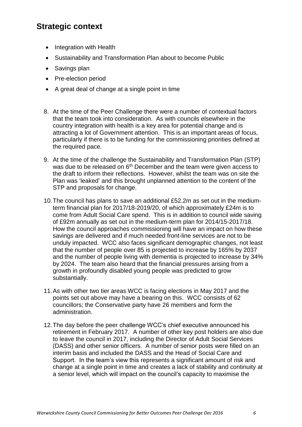## <span id="page-6-0"></span>**Strategic context**

- Integration with Health
- Sustainability and Transformation Plan about to become Public
- Savings plan
- Pre-election period
- A great deal of change at a single point in time
- 8. At the time of the Peer Challenge there were a number of contextual factors that the team took into consideration. As with councils elsewhere in the country integration with health is a key area for potential change and is attracting a lot of Government attention. This is an important areas of focus, particularly if there is to be funding for the commissioning priorities defined at the required pace.
- 9. At the time of the challenge the Sustainability and Transformation Plan (STP) was due to be released on 6<sup>th</sup> December and the team were given access to the draft to inform their reflections. However, whilst the team was on site the Plan was 'leaked' and this brought unplanned attention to the content of the STP and proposals for change.
- 10.The council has plans to save an additional £52.2m as set out in the mediumterm financial plan for 2017/18-2019/20, of which approximately £24m is to come from Adult Social Care spend. This is in addition to council wide saving of £92m annually as set out in the medium-term plan for 2014/15-2017/18. How the council approaches commissioning will have an impact on how these savings are delivered and if much needed front-line services are not to be unduly impacted. WCC also faces significant demographic changes, not least that the number of people over 85 is projected to increase by 165% by 2037 and the number of people living with dementia is projected to increase by 34% by 2024. The team also heard that the financial pressures arising from a growth in profoundly disabled young people was predicted to grow substantially.
- 11.As with other two tier areas WCC is facing elections in May 2017 and the points set out above may have a bearing on this. WCC consists of 62 councillors; the Conservative party have 26 members and form the administration.
- 12.The day before the peer challenge WCC's chief executive announced his retirement in February 2017. A number of other key post holders are also due to leave the council in 2017, including the Director of Adult Social Services (DASS) and other senior officers. A number of senior posts were filled on an interim basis and included the DASS and the Head of Social Care and Support. In the team's view this represents a significant amount of risk and change at a single point in time and creates a lack of stability and continuity at a senior level, which will impact on the council's capacity to maximise the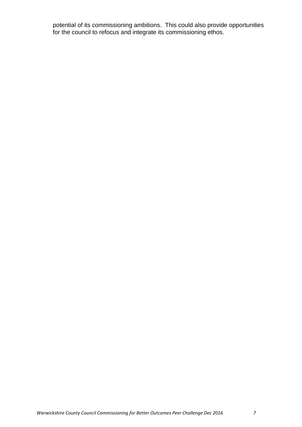potential of its commissioning ambitions. This could also provide opportunities for the council to refocus and integrate its commissioning ethos.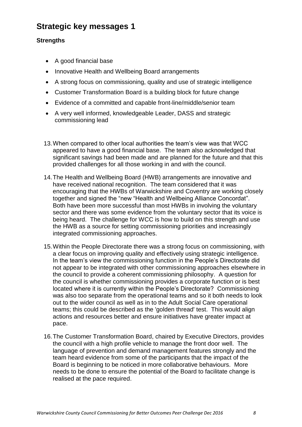## **Strategic key messages 1**

#### **Strengths**

- A good financial base
- Innovative Health and Wellbeing Board arrangements
- A strong focus on commissioning, quality and use of strategic intelligence
- Customer Transformation Board is a building block for future change
- Evidence of a committed and capable front-line/middle/senior team
- A very well informed, knowledgeable Leader, DASS and strategic commissioning lead
- 13.When compared to other local authorities the team's view was that WCC appeared to have a good financial base. The team also acknowledged that significant savings had been made and are planned for the future and that this provided challenges for all those working in and with the council.
- 14.The Health and Wellbeing Board (HWB) arrangements are innovative and have received national recognition. The team considered that it was encouraging that the HWBs of Warwickshire and Coventry are working closely together and signed the "new "Health and Wellbeing Alliance Concordat". Both have been more successful than most HWBs in involving the voluntary sector and there was some evidence from the voluntary sector that its voice is being heard. The challenge for WCC is how to build on this strength and use the HWB as a source for setting commissioning priorities and increasingly integrated commissioning approaches.
- 15.Within the People Directorate there was a strong focus on commissioning, with a clear focus on improving quality and effectively using strategic intelligence. In the team's view the commissioning function in the People's Directorate did not appear to be integrated with other commissioning approaches elsewhere in the council to provide a coherent commissioning philosophy. A question for the council is whether commissioning provides a corporate function or is best located where it is currently within the People's Directorate? Commissioning was also too separate from the operational teams and so it both needs to look out to the wider council as well as in to the Adult Social Care operational teams; this could be described as the 'golden thread' test. This would align actions and resources better and ensure initiatives have greater impact at pace.
- 16.The Customer Transformation Board, chaired by Executive Directors, provides the council with a high profile vehicle to manage the front door well. The language of prevention and demand management features strongly and the team heard evidence from some of the participants that the impact of the Board is beginning to be noticed in more collaborative behaviours. More needs to be done to ensure the potential of the Board to facilitate change is realised at the pace required.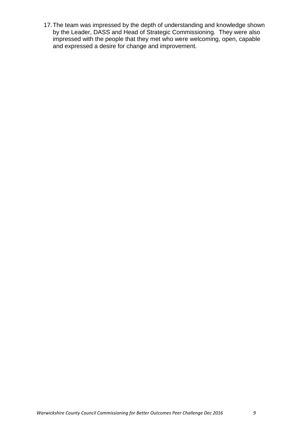17.The team was impressed by the depth of understanding and knowledge shown by the Leader, DASS and Head of Strategic Commissioning. They were also impressed with the people that they met who were welcoming, open, capable and expressed a desire for change and improvement.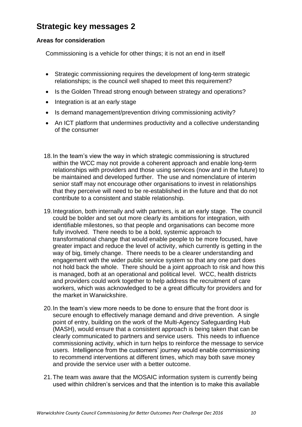## **Strategic key messages 2**

#### **Areas for consideration**

Commissioning is a vehicle for other things; it is not an end in itself

- Strategic commissioning requires the development of long-term strategic relationships; is the council well shaped to meet this requirement?
- Is the Golden Thread strong enough between strategy and operations?
- Integration is at an early stage
- Is demand management/prevention driving commissioning activity?
- An ICT platform that undermines productivity and a collective understanding of the consumer
- 18.In the team's view the way in which strategic commissioning is structured within the WCC may not provide a coherent approach and enable long-term relationships with providers and those using services (now and in the future) to be maintained and developed further. The use and nomenclature of interim senior staff may not encourage other organisations to invest in relationships that they perceive will need to be re-established in the future and that do not contribute to a consistent and stable relationship.
- 19.Integration, both internally and with partners, is at an early stage. The council could be bolder and set out more clearly its ambitions for integration, with identifiable milestones, so that people and organisations can become more fully involved. There needs to be a bold, systemic approach to transformational change that would enable people to be more focused, have greater impact and reduce the level of activity, which currently is getting in the way of big, timely change. There needs to be a clearer understanding and engagement with the wider public service system so that any one part does not hold back the whole. There should be a joint approach to risk and how this is managed, both at an operational and political level. WCC, health districts and providers could work together to help address the recruitment of care workers, which was acknowledged to be a great difficulty for providers and for the market in Warwickshire.
- 20.In the team's view more needs to be done to ensure that the front door is secure enough to effectively manage demand and drive prevention. A single point of entry, building on the work of the Multi-Agency Safeguarding Hub (MASH), would ensure that a consistent approach is being taken that can be clearly communicated to partners and service users. This needs to influence commissioning activity, which in turn helps to reinforce the message to service users. Intelligence from the customers' journey would enable commissioning to recommend interventions at different times, which may both save money and provide the service user with a better outcome.
- 21.The team was aware that the MOSAIC information system is currently being used within children's services and that the intention is to make this available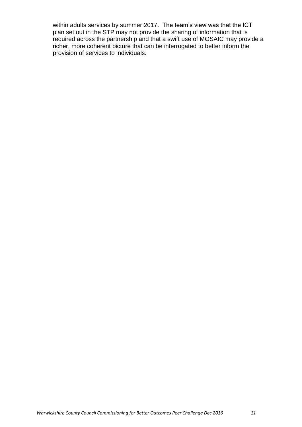within adults services by summer 2017. The team's view was that the ICT plan set out in the STP may not provide the sharing of information that is required across the partnership and that a swift use of MOSAIC may provide a richer, more coherent picture that can be interrogated to better inform the provision of services to individuals.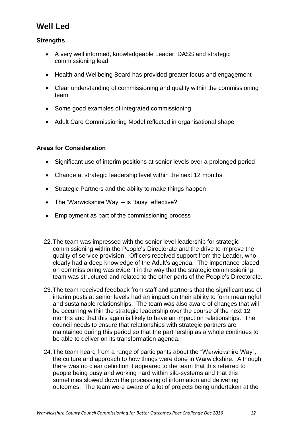## **Well Led**

#### **Strengths**

- A very well informed, knowledgeable Leader, DASS and strategic commissioning lead
- Health and Wellbeing Board has provided greater focus and engagement
- Clear understanding of commissioning and quality within the commissioning team
- Some good examples of integrated commissioning
- Adult Care Commissioning Model reflected in organisational shape

#### **Areas for Consideration**

- Significant use of interim positions at senior levels over a prolonged period
- Change at strategic leadership level within the next 12 months
- Strategic Partners and the ability to make things happen
- The 'Warwickshire Way' is "busy" effective?
- Employment as part of the commissioning process
- 22.The team was impressed with the senior level leadership for strategic commissioning within the People's Directorate and the drive to improve the quality of service provision. Officers received support from the Leader, who clearly had a deep knowledge of the Adult's agenda. The importance placed on commissioning was evident in the way that the strategic commissioning team was structured and related to the other parts of the People's Directorate.
- 23.The team received feedback from staff and partners that the significant use of interim posts at senior levels had an impact on their ability to form meaningful and sustainable relationships. The team was also aware of changes that will be occurring within the strategic leadership over the course of the next 12 months and that this again is likely to have an impact on relationships. The council needs to ensure that relationships with strategic partners are maintained during this period so that the partnership as a whole continues to be able to deliver on its transformation agenda.
- 24.The team heard from a range of participants about the "Warwickshire Way"; the culture and approach to how things were done in Warwickshire. Although there was no clear definition it appeared to the team that this referred to people being busy and working hard within silo-systems and that this sometimes slowed down the processing of information and delivering outcomes. The team were aware of a lot of projects being undertaken at the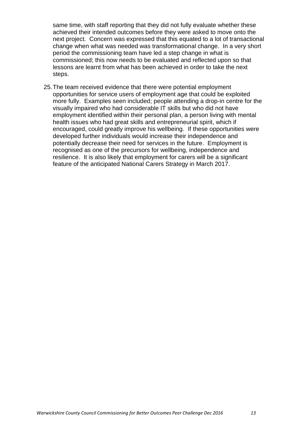same time, with staff reporting that they did not fully evaluate whether these achieved their intended outcomes before they were asked to move onto the next project. Concern was expressed that this equated to a lot of transactional change when what was needed was transformational change. In a very short period the commissioning team have led a step change in what is commissioned; this now needs to be evaluated and reflected upon so that lessons are learnt from what has been achieved in order to take the next steps.

25.The team received evidence that there were potential employment opportunities for service users of employment age that could be exploited more fully. Examples seen included; people attending a drop-in centre for the visually impaired who had considerable IT skills but who did not have employment identified within their personal plan, a person living with mental health issues who had great skills and entrepreneurial spirit, which if encouraged, could greatly improve his wellbeing. If these opportunities were developed further individuals would increase their independence and potentially decrease their need for services in the future. Employment is recognised as one of the precursors for wellbeing, independence and resilience. It is also likely that employment for carers will be a significant feature of the anticipated National Carers Strategy in March 2017.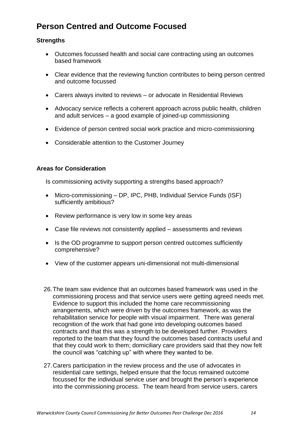## **Person Centred and Outcome Focused**

#### **Strengths**

- Outcomes focussed health and social care contracting using an outcomes based framework
- Clear evidence that the reviewing function contributes to being person centred and outcome focussed
- Carers always invited to reviews or advocate in Residential Reviews
- Advocacy service reflects a coherent approach across public health, children and adult services – a good example of joined-up commissioning
- Evidence of person centred social work practice and micro-commissioning
- Considerable attention to the Customer Journey

#### **Areas for Consideration**

Is commissioning activity supporting a strengths based approach?

- Micro-commissioning DP, IPC, PHB, Individual Service Funds (ISF) sufficiently ambitious?
- Review performance is very low in some key areas
- Case file reviews not consistently applied assessments and reviews
- Is the OD programme to support person centred outcomes sufficiently comprehensive?
- View of the customer appears uni-dimensional not multi-dimensional
- 26.The team saw evidence that an outcomes based framework was used in the commissioning process and that service users were getting agreed needs met. Evidence to support this included the home care recommissioning arrangements, which were driven by the outcomes framework, as was the rehabilitation service for people with visual impairment. There was general recognition of the work that had gone into developing outcomes based contracts and that this was a strength to be developed further. Providers reported to the team that they found the outcomes based contracts useful and that they could work to them; domiciliary care providers said that they now felt the council was "catching up" with where they wanted to be.
- 27.Carers participation in the review process and the use of advocates in residential care settings, helped ensure that the focus remained outcome focussed for the individual service user and brought the person's experience into the commissioning process. The team heard from service users, carers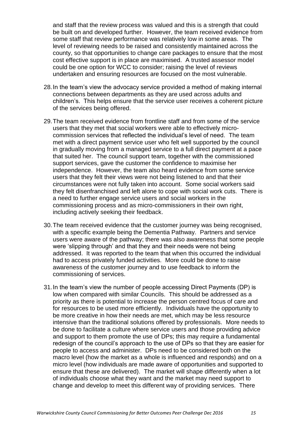and staff that the review process was valued and this is a strength that could be built on and developed further. However, the team received evidence from some staff that review performance was relatively low in some areas. The level of reviewing needs to be raised and consistently maintained across the county, so that opportunities to change care packages to ensure that the most cost effective support is in place are maximised. A trusted assessor model could be one option for WCC to consider; raising the level of reviews undertaken and ensuring resources are focused on the most vulnerable.

- 28.In the team's view the advocacy service provided a method of making internal connections between departments as they are used across adults and children's. This helps ensure that the service user receives a coherent picture of the services being offered.
- 29.The team received evidence from frontline staff and from some of the service users that they met that social workers were able to effectively microcommission services that reflected the individual's level of need. The team met with a direct payment service user who felt well supported by the council in gradually moving from a managed service to a full direct payment at a pace that suited her. The council support team, together with the commissioned support services, gave the customer the confidence to maximise her independence. However, the team also heard evidence from some service users that they felt their views were not being listened to and that their circumstances were not fully taken into account. Some social workers said they felt disenfranchised and left alone to cope with social work cuts. There is a need to further engage service users and social workers in the commissioning process and as micro-commissioners in their own right, including actively seeking their feedback.
- 30.The team received evidence that the customer journey was being recognised, with a specific example being the Dementia Pathway. Partners and service users were aware of the pathway; there was also awareness that some people were 'slipping through' and that they and their needs were not being addressed. It was reported to the team that when this occurred the individual had to access privately funded activities. More could be done to raise awareness of the customer journey and to use feedback to inform the commissioning of services.
- 31.In the team's view the number of people accessing Direct Payments (DP) is low when compared with similar Councils. This should be addressed as a priority as there is potential to increase the person centred focus of care and for resources to be used more efficiently. Individuals have the opportunity to be more creative in how their needs are met, which may be less resource intensive than the traditional solutions offered by professionals. More needs to be done to facilitate a culture where service users and those providing advice and support to them promote the use of DPs; this may require a fundamental redesign of the council's approach to the use of DPs so that they are easier for people to access and administer. DPs need to be considered both on the macro level (how the market as a whole is influenced and responds) and on a micro level (how individuals are made aware of opportunities and supported to ensure that these are delivered). The market will shape differently when a lot of individuals choose what they want and the market may need support to change and develop to meet this different way of providing services. There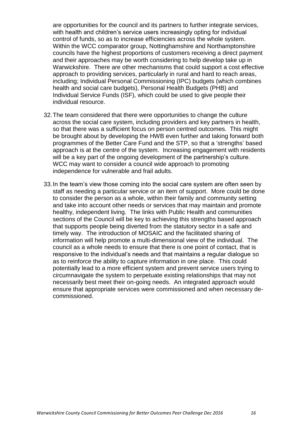are opportunities for the council and its partners to further integrate services, with health and children's service users increasingly opting for individual control of funds, so as to increase efficiencies across the whole system. Within the WCC comparator group, Nottinghamshire and Northamptonshire councils have the highest proportions of customers receiving a direct payment and their approaches may be worth considering to help develop take up in Warwickshire. There are other mechanisms that could support a cost effective approach to providing services, particularly in rural and hard to reach areas, including; Individual Personal Commissioning (IPC) budgets (which combines health and social care budgets), Personal Health Budgets (PHB) and Individual Service Funds (ISF), which could be used to give people their individual resource.

- 32.The team considered that there were opportunities to change the culture across the social care system, including providers and key partners in health, so that there was a sufficient focus on person centred outcomes. This might be brought about by developing the HWB even further and taking forward both programmes of the Better Care Fund and the STP, so that a 'strengths' based approach is at the centre of the system. Increasing engagement with residents will be a key part of the ongoing development of the partnership's culture. WCC may want to consider a council wide approach to promoting independence for vulnerable and frail adults.
- 33.In the team's view those coming into the social care system are often seen by staff as needing a particular service or an item of support. More could be done to consider the person as a whole, within their family and community setting and take into account other needs or services that may maintain and promote healthy, independent living. The links with Public Health and communities sections of the Council will be key to achieving this strengths based approach that supports people being diverted from the statutory sector in a safe and timely way. The introduction of MOSAIC and the facilitated sharing of information will help promote a multi-dimensional view of the individual. The council as a whole needs to ensure that there is one point of contact, that is responsive to the individual's needs and that maintains a regular dialogue so as to reinforce the ability to capture information in one place. This could potentially lead to a more efficient system and prevent service users trying to circumnavigate the system to perpetuate existing relationships that may not necessarily best meet their on-going needs. An integrated approach would ensure that appropriate services were commissioned and when necessary decommissioned.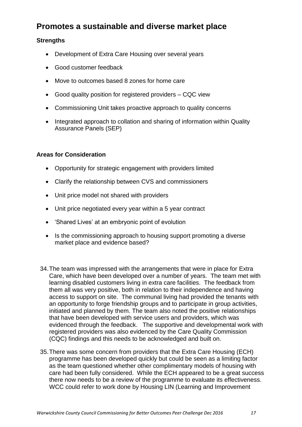## **Promotes a sustainable and diverse market place**

#### **Strengths**

- Development of Extra Care Housing over several years
- Good customer feedback
- Move to outcomes based 8 zones for home care
- Good quality position for registered providers CQC view
- Commissioning Unit takes proactive approach to quality concerns
- Integrated approach to collation and sharing of information within Quality Assurance Panels (SEP)

## **Areas for Consideration**

- Opportunity for strategic engagement with providers limited
- Clarify the relationship between CVS and commissioners
- Unit price model not shared with providers
- Unit price negotiated every year within a 5 year contract
- 'Shared Lives' at an embryonic point of evolution
- Is the commissioning approach to housing support promoting a diverse market place and evidence based?
- 34.The team was impressed with the arrangements that were in place for Extra Care, which have been developed over a number of years. The team met with learning disabled customers living in extra care facilities. The feedback from them all was very positive, both in relation to their independence and having access to support on site. The communal living had provided the tenants with an opportunity to forge friendship groups and to participate in group activities, initiated and planned by them. The team also noted the positive relationships that have been developed with service users and providers, which was evidenced through the feedback. The supportive and developmental work with registered providers was also evidenced by the Care Quality Commission (CQC) findings and this needs to be acknowledged and built on.
- 35.There was some concern from providers that the Extra Care Housing (ECH) programme has been developed quickly but could be seen as a limiting factor as the team questioned whether other complimentary models of housing with care had been fully considered. While the ECH appeared to be a great success there now needs to be a review of the programme to evaluate its effectiveness. WCC could refer to work done by Housing LIN (Learning and Improvement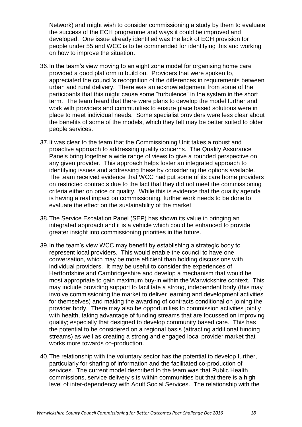Network) and might wish to consider commissioning a study by them to evaluate the success of the ECH programme and ways it could be improved and developed. One issue already identified was the lack of ECH provision for people under 55 and WCC is to be commended for identifying this and working on how to improve the situation.

- 36.In the team's view moving to an eight zone model for organising home care provided a good platform to build on. Providers that were spoken to, appreciated the council's recognition of the differences in requirements between urban and rural delivery. There was an acknowledgement from some of the participants that this might cause some "turbulence" in the system in the short term. The team heard that there were plans to develop the model further and work with providers and communities to ensure place based solutions were in place to meet individual needs. Some specialist providers were less clear about the benefits of some of the models, which they felt may be better suited to older people services.
- 37.It was clear to the team that the Commissioning Unit takes a robust and proactive approach to addressing quality concerns. The Quality Assurance Panels bring together a wide range of views to give a rounded perspective on any given provider. This approach helps foster an integrated approach to identifying issues and addressing these by considering the options available. The team received evidence that WCC had put some of its care home providers on restricted contracts due to the fact that they did not meet the commissioning criteria either on price or quality. While this is evidence that the quality agenda is having a real impact on commissioning, further work needs to be done to evaluate the effect on the sustainability of the market
- 38.The Service Escalation Panel (SEP) has shown its value in bringing an integrated approach and it is a vehicle which could be enhanced to provide greater insight into commissioning priorities in the future.
- 39.In the team's view WCC may benefit by establishing a strategic body to represent local providers. This would enable the council to have one conversation, which may be more efficient than holding discussions with individual providers. It may be useful to consider the experiences of Hertfordshire and Cambridgeshire and develop a mechanism that would be most appropriate to gain maximum buy-in within the Warwickshire context. This may include providing support to facilitate a strong, independent body (this may involve commissioning the market to deliver learning and development activities for themselves) and making the awarding of contracts conditional on joining the provider body. There may also be opportunities to commission activities jointly with health, taking advantage of funding streams that are focussed on improving quality; especially that designed to develop community based care. This has the potential to be considered on a regional basis (attracting additional funding streams) as well as creating a strong and engaged local provider market that works more towards co-production.
- 40.The relationship with the voluntary sector has the potential to develop further, particularly for sharing of information and the facilitated co-production of services. The current model described to the team was that Public Health commissions, service delivery sits within communities but that there is a high level of inter-dependency with Adult Social Services. The relationship with the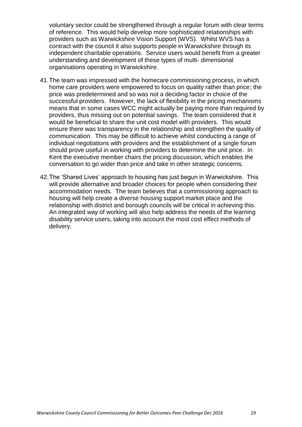voluntary sector could be strengthened through a regular forum with clear terms of reference. This would help develop more sophisticated relationships with providers such as Warwickshire Vision Support (WVS). Whilst WVS has a contract with the council it also supports people in Warwickshire through its independent charitable operations. Service users would benefit from a greater understanding and development of these types of multi- dimensional organisations operating in Warwickshire.

- 41.The team was impressed with the homecare commissioning process, in which home care providers were empowered to focus on quality rather than price; the price was predetermined and so was not a deciding factor in choice of the successful providers. However, the lack of flexibility in the pricing mechanisms means that in some cases WCC might actually be paying more than required by providers, thus missing out on potential savings. The team considered that it would be beneficial to share the unit cost model with providers. This would ensure there was transparency in the relationship and strengthen the quality of communication. This may be difficult to achieve whilst conducting a range of individual negotiations with providers and the establishment of a single forum should prove useful in working with providers to determine the unit price. In Kent the executive member chairs the pricing discussion, which enables the conversation to go wider than price and take in other strategic concerns.
- 42.The 'Shared Lives' approach to housing has just begun in Warwickshire. This will provide alternative and broader choices for people when considering their accommodation needs. The team believes that a commissioning approach to housing will help create a diverse housing support market place and the relationship with district and borough councils will be critical in achieving this. An integrated way of working will also help address the needs of the learning disability service users, taking into account the most cost effect methods of delivery.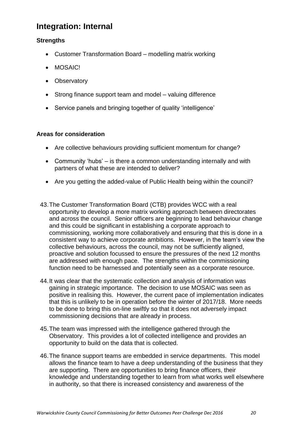## **Integration: Internal**

#### **Strengths**

- Customer Transformation Board modelling matrix working
- MOSAIC!
- Observatory
- Strong finance support team and model valuing difference
- Service panels and bringing together of quality 'intelligence'

#### **Areas for consideration**

- Are collective behaviours providing sufficient momentum for change?
- Community 'hubs' is there a common understanding internally and with partners of what these are intended to deliver?
- Are you getting the added-value of Public Health being within the council?
- 43.The Customer Transformation Board (CTB) provides WCC with a real opportunity to develop a more matrix working approach between directorates and across the council. Senior officers are beginning to lead behaviour change and this could be significant in establishing a corporate approach to commissioning, working more collaboratively and ensuring that this is done in a consistent way to achieve corporate ambitions. However, in the team's view the collective behaviours, across the council, may not be sufficiently aligned, proactive and solution focussed to ensure the pressures of the next 12 months are addressed with enough pace. The strengths within the commissioning function need to be harnessed and potentially seen as a corporate resource.
- 44.It was clear that the systematic collection and analysis of information was gaining in strategic importance. The decision to use MOSAIC was seen as positive in realising this. However, the current pace of implementation indicates that this is unlikely to be in operation before the winter of 2017/18. More needs to be done to bring this on-line swiftly so that it does not adversely impact commissioning decisions that are already in process.
- 45.The team was impressed with the intelligence gathered through the Observatory. This provides a lot of collected intelligence and provides an opportunity to build on the data that is collected.
- 46.The finance support teams are embedded in service departments. This model allows the finance team to have a deep understanding of the business that they are supporting. There are opportunities to bring finance officers, their knowledge and understanding together to learn from what works well elsewhere in authority, so that there is increased consistency and awareness of the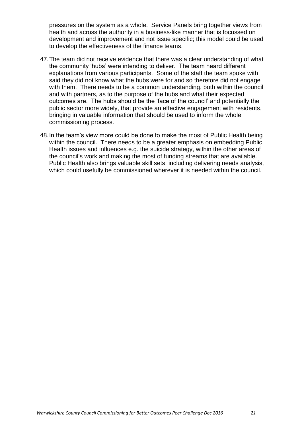pressures on the system as a whole. Service Panels bring together views from health and across the authority in a business-like manner that is focussed on development and improvement and not issue specific; this model could be used to develop the effectiveness of the finance teams.

- 47.The team did not receive evidence that there was a clear understanding of what the community 'hubs' were intending to deliver. The team heard different explanations from various participants. Some of the staff the team spoke with said they did not know what the hubs were for and so therefore did not engage with them. There needs to be a common understanding, both within the council and with partners, as to the purpose of the hubs and what their expected outcomes are. The hubs should be the 'face of the council' and potentially the public sector more widely, that provide an effective engagement with residents, bringing in valuable information that should be used to inform the whole commissioning process.
- 48.In the team's view more could be done to make the most of Public Health being within the council. There needs to be a greater emphasis on embedding Public Health issues and influences e.g. the suicide strategy, within the other areas of the council's work and making the most of funding streams that are available. Public Health also brings valuable skill sets, including delivering needs analysis, which could usefully be commissioned wherever it is needed within the council.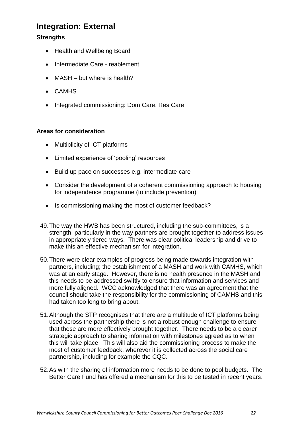## **Integration: External**

## **Strengths**

- Health and Wellbeing Board
- Intermediate Care reablement
- MASH but where is health?
- CAMHS
- Integrated commissioning: Dom Care, Res Care

#### **Areas for consideration**

- Multiplicity of ICT platforms
- Limited experience of 'pooling' resources
- Build up pace on successes e.g. intermediate care
- Consider the development of a coherent commissioning approach to housing for independence programme (to include prevention)
- Is commissioning making the most of customer feedback?
- 49.The way the HWB has been structured, including the sub-committees, is a strength, particularly in the way partners are brought together to address issues in appropriately tiered ways. There was clear political leadership and drive to make this an effective mechanism for integration.
- 50.There were clear examples of progress being made towards integration with partners, including; the establishment of a MASH and work with CAMHS, which was at an early stage. However, there is no health presence in the MASH and this needs to be addressed swiftly to ensure that information and services and more fully aligned. WCC acknowledged that there was an agreement that the council should take the responsibility for the commissioning of CAMHS and this had taken too long to bring about.
- 51.Although the STP recognises that there are a multitude of ICT platforms being used across the partnership there is not a robust enough challenge to ensure that these are more effectively brought together. There needs to be a clearer strategic approach to sharing information with milestones agreed as to when this will take place. This will also aid the commissioning process to make the most of customer feedback, wherever it is collected across the social care partnership, including for example the CQC.
- 52.As with the sharing of information more needs to be done to pool budgets. The Better Care Fund has offered a mechanism for this to be tested in recent years.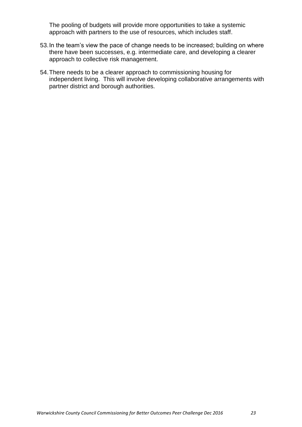The pooling of budgets will provide more opportunities to take a systemic approach with partners to the use of resources, which includes staff.

- 53.In the team's view the pace of change needs to be increased; building on where there have been successes, e.g. intermediate care, and developing a clearer approach to collective risk management.
- 54.There needs to be a clearer approach to commissioning housing for independent living. This will involve developing collaborative arrangements with partner district and borough authorities.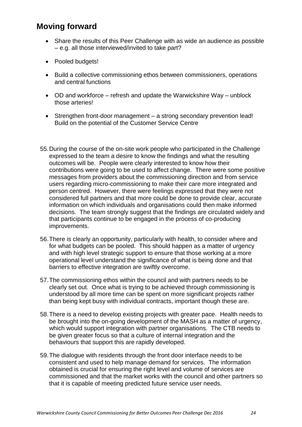## **Moving forward**

- Share the results of this Peer Challenge with as wide an audience as possible – e.g. all those interviewed/invited to take part?
- Pooled budgets!
- Build a collective commissioning ethos between commissioners, operations and central functions
- OD and workforce refresh and update the Warwickshire Way unblock those arteries!
- Strengthen front-door management a strong secondary prevention lead! Build on the potential of the Customer Service Centre
- 55.During the course of the on-site work people who participated in the Challenge expressed to the team a desire to know the findings and what the resulting outcomes will be. People were clearly interested to know how their contributions were going to be used to affect change. There were some positive messages from providers about the commissioning direction and from service users regarding micro-commissioning to make their care more integrated and person centred. However, there were feelings expressed that they were not considered full partners and that more could be done to provide clear, accurate information on which individuals and organisations could then make informed decisions. The team strongly suggest that the findings are circulated widely and that participants continue to be engaged in the process of co-producing improvements.
- 56.There is clearly an opportunity, particularly with health, to consider where and for what budgets can be pooled. This should happen as a matter of urgency and with high level strategic support to ensure that those working at a more operational level understand the significance of what is being done and that barriers to effective integration are swiftly overcome.
- 57.The commissioning ethos within the council and with partners needs to be clearly set out. Once what is trying to be achieved through commissioning is understood by all more time can be spent on more significant projects rather than being kept busy with individual contracts, important though these are.
- 58.There is a need to develop existing projects with greater pace. Health needs to be brought into the on-going development of the MASH as a matter of urgency, which would support integration with partner organisations. The CTB needs to be given greater focus so that a culture of internal integration and the behaviours that support this are rapidly developed.
- 59.The dialogue with residents through the front door interface needs to be consistent and used to help manage demand for services. The information obtained is crucial for ensuring the right level and volume of services are commissioned and that the market works with the council and other partners so that it is capable of meeting predicted future service user needs.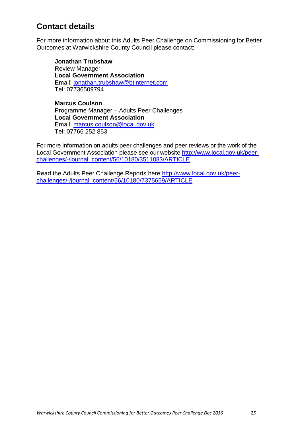## **Contact details**

For more information about this Adults Peer Challenge on Commissioning for Better Outcomes at Warwickshire County Council please contact:

**Jonathan Trubshaw** Review Manager **Local Government Association** Email: [jonathan.trubshaw@btinternet.com](mailto:jonathan.trubshaw@btinternet.com) Tel: 07736509794

**Marcus Coulson** Programme Manager – Adults Peer Challenges **Local Government Association** Email: [marcus.coulson@local.gov.uk](mailto:marcus.coulson@local.gov.uk) Tel: 07766 252 853

For more information on adults peer challenges and peer reviews or the work of the Local Government Association please see our website [http://www.local.gov.uk/peer](http://www.local.gov.uk/peer-challenges/-/journal_content/56/10180/3511083/ARTICLE)[challenges/-/journal\\_content/56/10180/3511083/ARTICLE](http://www.local.gov.uk/peer-challenges/-/journal_content/56/10180/3511083/ARTICLE)

Read the Adults Peer Challenge Reports here [http://www.local.gov.uk/peer](http://www.local.gov.uk/peer-challenges/-/journal_content/56/10180/7375659/ARTICLE)[challenges/-/journal\\_content/56/10180/7375659/ARTICLE](http://www.local.gov.uk/peer-challenges/-/journal_content/56/10180/7375659/ARTICLE)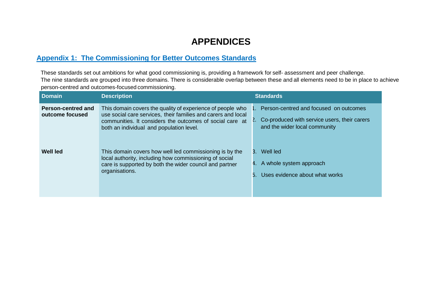# **APPENDICES**

## **Appendix 1: The Commissioning for Better Outcomes Standards**

These standards set out ambitions for what good commissioning is, providing a framework for self- assessment and peer challenge. The nine standards are grouped into three domains. There is considerable overlap between these and all elements need to be in place to achieve person-centred and outcomes-focused commissioning.

| <b>Domain</b>                                | <b>Description</b>                                                                                                                                                                                                                  | <b>Standards</b>                                                                                                           |
|----------------------------------------------|-------------------------------------------------------------------------------------------------------------------------------------------------------------------------------------------------------------------------------------|----------------------------------------------------------------------------------------------------------------------------|
| <b>Person-centred and</b><br>outcome focused | This domain covers the quality of experience of people who<br>use social care services, their families and carers and local<br>communities. It considers the outcomes of social care at<br>both an individual and population level. | 1. Person-centred and focused on outcomes<br>Co-produced with service users, their carers<br>and the wider local community |
| Well led                                     | This domain covers how well led commissioning is by the<br>local authority, including how commissioning of social<br>care is supported by both the wider council and partner<br>organisations.                                      | Well led<br>3.<br>4. A whole system approach<br>Uses evidence about what works                                             |